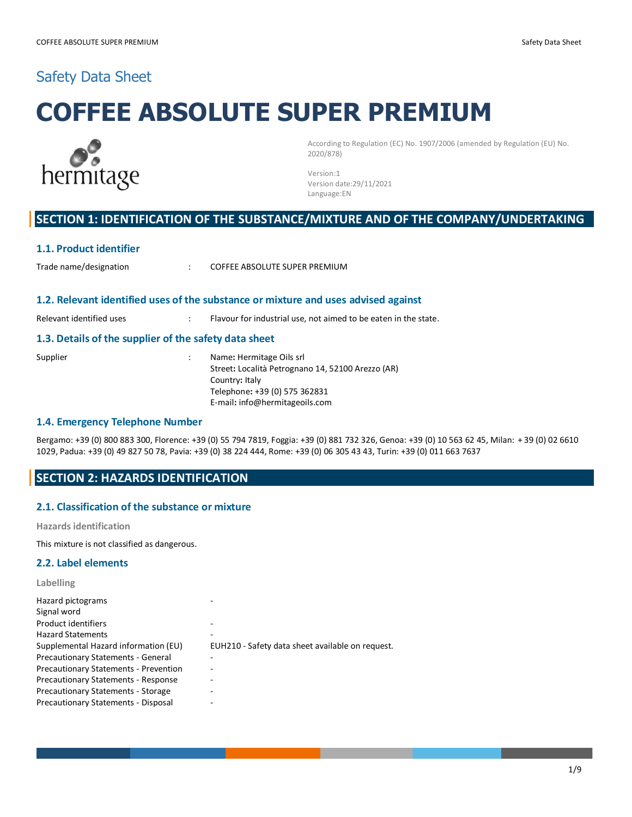# Safety Data Sheet

# **COFFEE ABSOLUTE SUPER PREMIUM**



According to Regulation (EC) No. 1907/2006 (amended by Regulation (EU) No. 2020/878)

Version:1 Version date:29/11/2021 Language:EN

# **SECTION 1: IDENTIFICATION OF THE SUBSTANCE/MIXTURE AND OF THE COMPANY/UNDERTAKING**

#### **1.1. Product identifier**

: Trade name/designation Trade is COFFEE ABSOLUTE SUPER PREMIUM

#### **1.2. Relevant identified uses of the substance or mixture and uses advised against**

Relevant identified uses : Flavour for industrial use, not aimed to be eaten in the state.

#### **1.3. Details of the supplier of the safety data sheet**

- 
- Supplier : Name: Hermitage Oils srl Street**:** Località Petrognano 14, 52100 Arezzo (AR) Country**:** Italy Telephone**:** +39 (0) 575 362831 E-mail**:** info@hermitageoils.com

#### **1.4. Emergency Telephone Number**

Bergamo: +39 (0) 800 883 300, Florence: +39 (0) 55 794 7819, Foggia: +39 (0) 881 732 326, Genoa: +39 (0) 10 563 62 45, Milan: + 39 (0) 02 6610 1029, Padua: +39 (0) 49 827 50 78, Pavia: +39 (0) 38 224 444, Rome: +39 (0) 06 305 43 43, Turin: +39 (0) 011 663 7637

# **SECTION 2: HAZARDS IDENTIFICATION**

#### **2.1. Classification of the substance or mixture**

**Hazards identification**

This mixture is not classified as dangerous.

#### **2.2. Label elements**

**Labelling**

| Hazard pictograms                            |                                                  |
|----------------------------------------------|--------------------------------------------------|
| Signal word                                  |                                                  |
| Product identifiers                          |                                                  |
| <b>Hazard Statements</b>                     |                                                  |
| Supplemental Hazard information (EU)         | EUH210 - Safety data sheet available on request. |
| Precautionary Statements - General           |                                                  |
| <b>Precautionary Statements - Prevention</b> |                                                  |
| <b>Precautionary Statements - Response</b>   |                                                  |
| <b>Precautionary Statements - Storage</b>    |                                                  |
| <b>Precautionary Statements - Disposal</b>   |                                                  |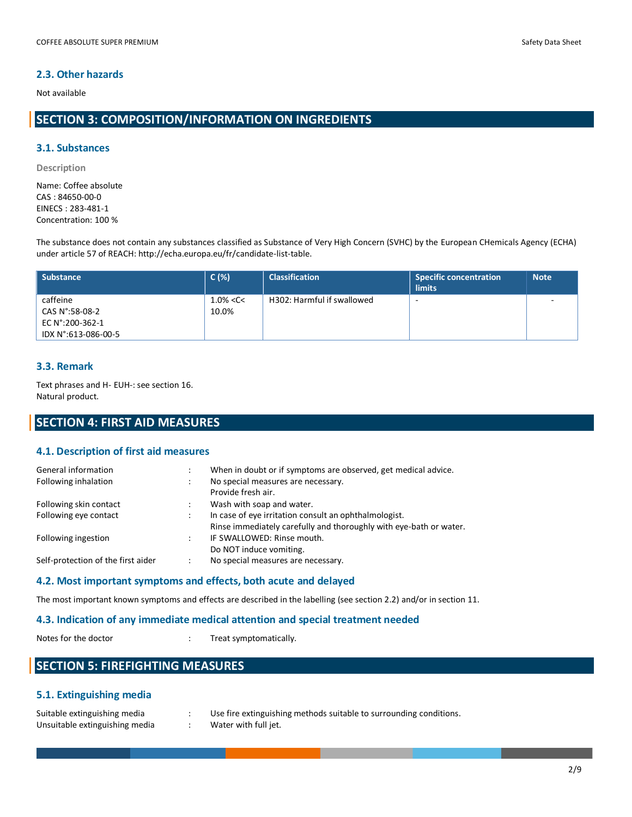# **2.3. Other hazards**

Not available

# **SECTION 3: COMPOSITION/INFORMATION ON INGREDIENTS**

#### **3.1. Substances**

**Description**

Name: Coffee absolute CAS : 84650-00-0 EINECS : 283-481-1 Concentration: 100 %

The substance does not contain any substances classified as Substance of Very High Concern (SVHC) by the European CHemicals Agency (ECHA) under article 57 of REACH: http://echa.europa.eu/fr/candidate-list-table.

| Substance           | $C(\%)$       | <b>Classification</b>      | <b>Specific concentration</b><br><b>limits</b> | <b>Note</b> |
|---------------------|---------------|----------------------------|------------------------------------------------|-------------|
| caffeine            | $1.0\% < C <$ | H302: Harmful if swallowed | -                                              |             |
| CAS N°:58-08-2      | 10.0%         |                            |                                                |             |
| EC N°:200-362-1     |               |                            |                                                |             |
| IDX N°:613-086-00-5 |               |                            |                                                |             |

#### **3.3. Remark**

Text phrases and H- EUH-: see section 16. Natural product.

# **SECTION 4: FIRST AID MEASURES**

#### **4.1. Description of first aid measures**

| General information                |   | When in doubt or if symptoms are observed, get medical advice.     |
|------------------------------------|---|--------------------------------------------------------------------|
| Following inhalation               |   | No special measures are necessary.<br>Provide fresh air.           |
|                                    |   |                                                                    |
| Following skin contact             |   | Wash with soap and water.                                          |
| Following eye contact              |   | In case of eye irritation consult an ophthalmologist.              |
|                                    |   | Rinse immediately carefully and thoroughly with eye-bath or water. |
| Following ingestion                |   | IF SWALLOWED: Rinse mouth.                                         |
|                                    |   | Do NOT induce vomiting.                                            |
| Self-protection of the first aider | ÷ | No special measures are necessary.                                 |
|                                    |   |                                                                    |

#### **4.2. Most important symptoms and effects, both acute and delayed**

The most important known symptoms and effects are described in the labelling (see section 2.2) and/or in section 11.

#### **4.3. Indication of any immediate medical attention and special treatment needed**

Notes for the doctor  $\cdot$  Treat symptomatically.

# **SECTION 5: FIREFIGHTING MEASURES**

# **5.1. Extinguishing media**

| Suitable extinguishing media   | Use |
|--------------------------------|-----|
| Unsuitable extinguishing media | Wat |

fire extinguishing methods suitable to surrounding conditions. ter with full jet.

2/9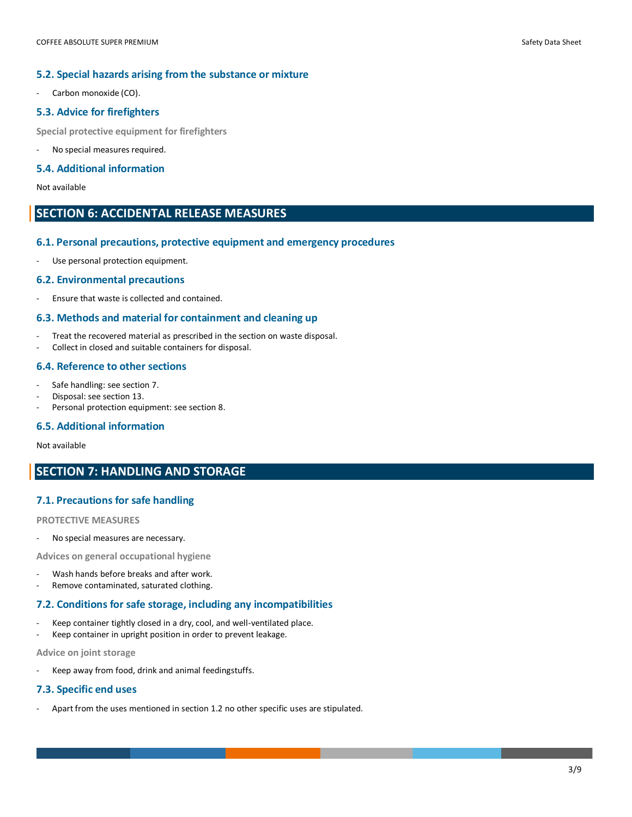#### **5.2. Special hazards arising from the substance or mixture**

Carbon monoxide (CO).

#### **5.3. Advice for firefighters**

**Special protective equipment for firefighters**

No special measures required.

#### **5.4. Additional information**

Not available

# **SECTION 6: ACCIDENTAL RELEASE MEASURES**

#### **6.1. Personal precautions, protective equipment and emergency procedures**

Use personal protection equipment.

#### **6.2. Environmental precautions**

- Ensure that waste is collected and contained.

#### **6.3. Methods and material for containment and cleaning up**

- Treat the recovered material as prescribed in the section on waste disposal.
- Collect in closed and suitable containers for disposal.

#### **6.4. Reference to other sections**

- Safe handling: see section 7.
- Disposal: see section 13.
- Personal protection equipment: see section 8.

#### **6.5. Additional information**

Not available

# **SECTION 7: HANDLING AND STORAGE**

#### **7.1. Precautions for safe handling**

#### **PROTECTIVE MEASURES**

No special measures are necessary.

**Advices on general occupational hygiene**

- Wash hands before breaks and after work.
- Remove contaminated, saturated clothing.

#### **7.2. Conditions for safe storage, including any incompatibilities**

- Keep container tightly closed in a dry, cool, and well-ventilated place.
- Keep container in upright position in order to prevent leakage.

**Advice on joint storage**

- Keep away from food, drink and animal feedingstuffs.

#### **7.3. Specific end uses**

Apart from the uses mentioned in section 1.2 no other specific uses are stipulated.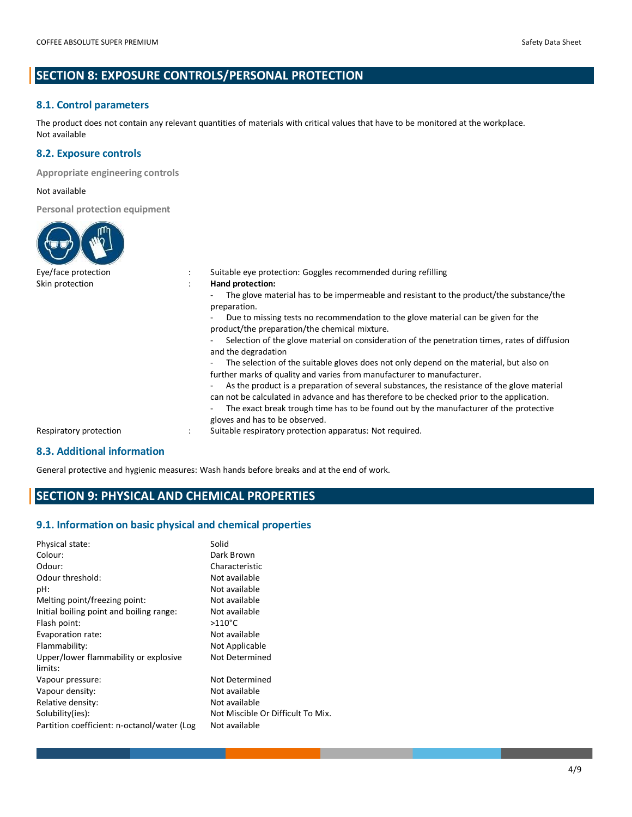# **SECTION 8: EXPOSURE CONTROLS/PERSONAL PROTECTION**

# **8.1. Control parameters**

The product does not contain any relevant quantities of materials with critical values that have to be monitored at the workplace. Not available

### **8.2. Exposure controls**

**Appropriate engineering controls**

#### Not available

**Personal protection equipment**

| Eye/face protection         | Suitable eye protection: Goggles recommended during refilling                                                                                                                                                                                                                                                        |  |
|-----------------------------|----------------------------------------------------------------------------------------------------------------------------------------------------------------------------------------------------------------------------------------------------------------------------------------------------------------------|--|
| Skin protection             | Hand protection:                                                                                                                                                                                                                                                                                                     |  |
|                             | The glove material has to be impermeable and resistant to the product/the substance/the<br>preparation.                                                                                                                                                                                                              |  |
|                             | Due to missing tests no recommendation to the glove material can be given for the<br>product/the preparation/the chemical mixture.                                                                                                                                                                                   |  |
|                             | Selection of the glove material on consideration of the penetration times, rates of diffusion<br>and the degradation                                                                                                                                                                                                 |  |
|                             | The selection of the suitable gloves does not only depend on the material, but also on<br>further marks of quality and varies from manufacturer to manufacturer.                                                                                                                                                     |  |
|                             | As the product is a preparation of several substances, the resistance of the glove material<br>can not be calculated in advance and has therefore to be checked prior to the application.<br>The exact break trough time has to be found out by the manufacturer of the protective<br>gloves and has to be observed. |  |
| Respiratory protection      | Suitable respiratory protection apparatus: Not required.                                                                                                                                                                                                                                                             |  |
| 0.0. Additional information |                                                                                                                                                                                                                                                                                                                      |  |

# **8.3. Additional information**

General protective and hygienic measures: Wash hands before breaks and at the end of work.

# **SECTION 9: PHYSICAL AND CHEMICAL PROPERTIES**

# **9.1. Information on basic physical and chemical properties**

| Physical state:<br>Colour:<br>Odour:<br>Odour threshold:<br>pH:<br>Melting point/freezing point:<br>Initial boiling point and boiling range:<br>Flash point:<br>Evaporation rate:<br>Flammability: | Solid<br>Dark Brown<br>Characteristic<br>Not available<br>Not available<br>Not available<br>Not available<br>$>110^{\circ}$ C<br>Not available |
|----------------------------------------------------------------------------------------------------------------------------------------------------------------------------------------------------|------------------------------------------------------------------------------------------------------------------------------------------------|
| Upper/lower flammability or explosive                                                                                                                                                              | Not Applicable                                                                                                                                 |
| limits:                                                                                                                                                                                            | Not Determined                                                                                                                                 |
| Vapour pressure:                                                                                                                                                                                   | Not Determined                                                                                                                                 |
| Vapour density:                                                                                                                                                                                    | Not available                                                                                                                                  |
| Relative density:                                                                                                                                                                                  | Not available                                                                                                                                  |
| Solubility(ies):                                                                                                                                                                                   | Not Miscible Or Difficult To Mix.                                                                                                              |
| Partition coefficient: n-octanol/water (Log                                                                                                                                                        | Not available                                                                                                                                  |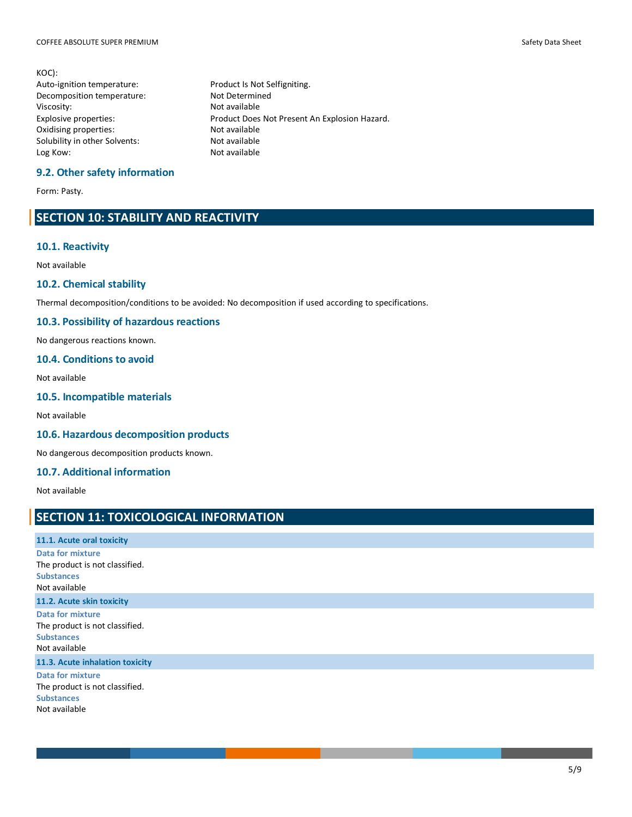KOC): Auto-ignition temperature: Product Is Not Selfigniting. Decomposition temperature: Not Determined Viscosity: Not available<br>
Explosive properties: Not available<br>
Product Does Oxidising properties: Solubility in other Solvents: Not available Log Kow: Not available

Product Does Not Present An Explosion Hazard.<br>Not available

#### **9.2. Other safety information**

Form: Pasty.

# **SECTION 10: STABILITY AND REACTIVITY**

#### **10.1. Reactivity**

Not available

# **10.2. Chemical stability**

Thermal decomposition/conditions to be avoided: No decomposition if used according to specifications.

#### **10.3. Possibility of hazardous reactions**

No dangerous reactions known.

#### **10.4. Conditions to avoid**

Not available

### **10.5. Incompatible materials**

Not available

#### **10.6. Hazardous decomposition products**

No dangerous decomposition products known.

### **10.7. Additional information**

Not available

# **SECTION 11: TOXICOLOGICAL INFORMATION**

| 11.1. Acute oral toxicity                                                                       |
|-------------------------------------------------------------------------------------------------|
| <b>Data for mixture</b><br>The product is not classified.<br><b>Substances</b><br>Not available |
| 11.2. Acute skin toxicity                                                                       |
| Data for mixture<br>The product is not classified.<br><b>Substances</b><br>Not available        |
| 11.3. Acute inhalation toxicity                                                                 |
| <b>Data for mixture</b><br>The product is not classified.<br><b>Substances</b><br>Not available |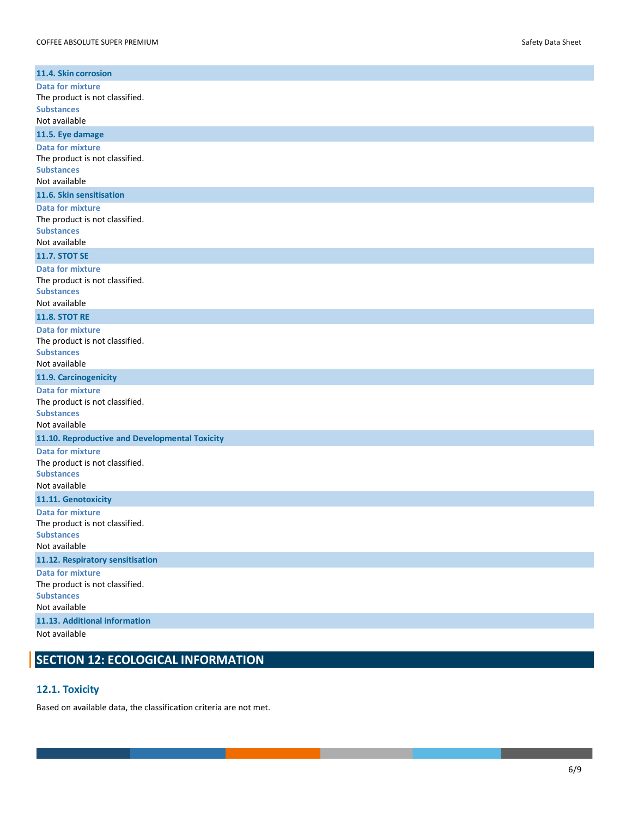| 11.4. Skin corrosion                                      |
|-----------------------------------------------------------|
| <b>Data for mixture</b>                                   |
| The product is not classified.                            |
| <b>Substances</b>                                         |
| Not available                                             |
| 11.5. Eye damage                                          |
| <b>Data for mixture</b><br>The product is not classified. |
| <b>Substances</b>                                         |
| Not available                                             |
| 11.6. Skin sensitisation                                  |
| <b>Data for mixture</b>                                   |
| The product is not classified.                            |
| <b>Substances</b><br>Not available                        |
| <b>11.7. STOT SE</b>                                      |
| <b>Data for mixture</b>                                   |
| The product is not classified.                            |
| <b>Substances</b>                                         |
| Not available                                             |
| <b>11.8. STOT RE</b>                                      |
| <b>Data for mixture</b>                                   |
| The product is not classified.                            |
| <b>Substances</b><br>Not available                        |
|                                                           |
| 11.9. Carcinogenicity<br><b>Data for mixture</b>          |
| The product is not classified.                            |
| <b>Substances</b>                                         |
| Not available                                             |
| 11.10. Reproductive and Developmental Toxicity            |
| <b>Data for mixture</b>                                   |
| The product is not classified.                            |
| <b>Substances</b><br>Not available                        |
| 11.11. Genotoxicity                                       |
| <b>Data for mixture</b>                                   |
| The product is not classified.                            |
| <b>Substances</b>                                         |
| Not available                                             |
| 11.12. Respiratory sensitisation                          |
| <b>Data for mixture</b>                                   |
| The product is not classified.                            |
| <b>Substances</b><br>Not available                        |
| 11.13. Additional information                             |
| Not ovoilable                                             |

Not available

# **SECTION 12: ECOLOGICAL INFORMATION**

# **12.1. Toxicity**

Based on available data, the classification criteria are not met.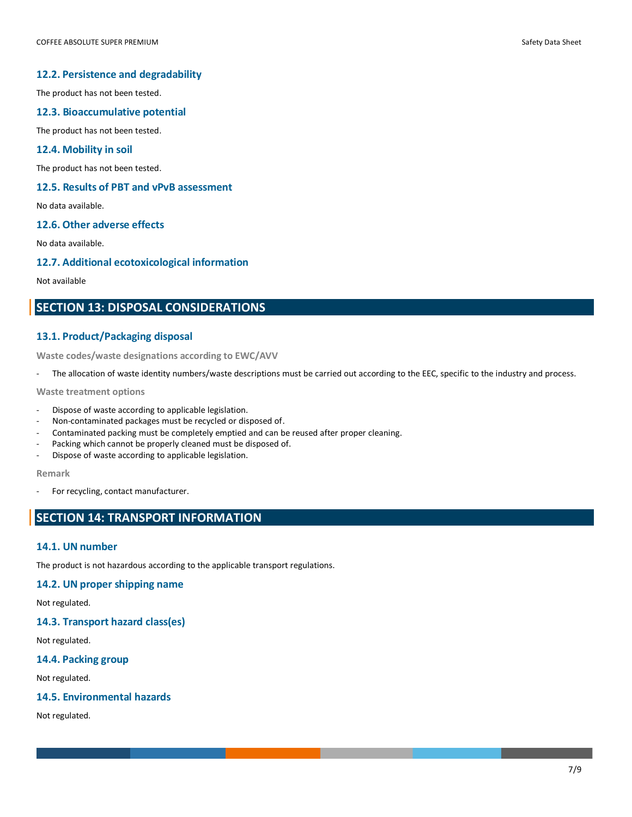#### **12.2. Persistence and degradability**

The product has not been tested.

#### **12.3. Bioaccumulative potential**

The product has not been tested.

#### **12.4. Mobility in soil**

The product has not been tested.

#### **12.5. Results of PBT and vPvB assessment**

No data available.

# **12.6. Other adverse effects**

No data available.

#### **12.7. Additional ecotoxicological information**

Not available

# **SECTION 13: DISPOSAL CONSIDERATIONS**

#### **13.1. Product/Packaging disposal**

**Waste codes/waste designations according to EWC/AVV**

- The allocation of waste identity numbers/waste descriptions must be carried out according to the EEC, specific to the industry and process.

**Waste treatment options**

- Dispose of waste according to applicable legislation.
- Non-contaminated packages must be recycled or disposed of.
- Contaminated packing must be completely emptied and can be reused after proper cleaning.
- Packing which cannot be properly cleaned must be disposed of.
- Dispose of waste according to applicable legislation.

#### **Remark**

For recycling, contact manufacturer.

# **SECTION 14: TRANSPORT INFORMATION**

#### **14.1. UN number**

The product is not hazardous according to the applicable transport regulations.

# **14.2. UN proper shipping name**

Not regulated.

# **14.3. Transport hazard class(es)**

Not regulated.

# **14.4. Packing group**

Not regulated.

# **14.5. Environmental hazards**

Not regulated.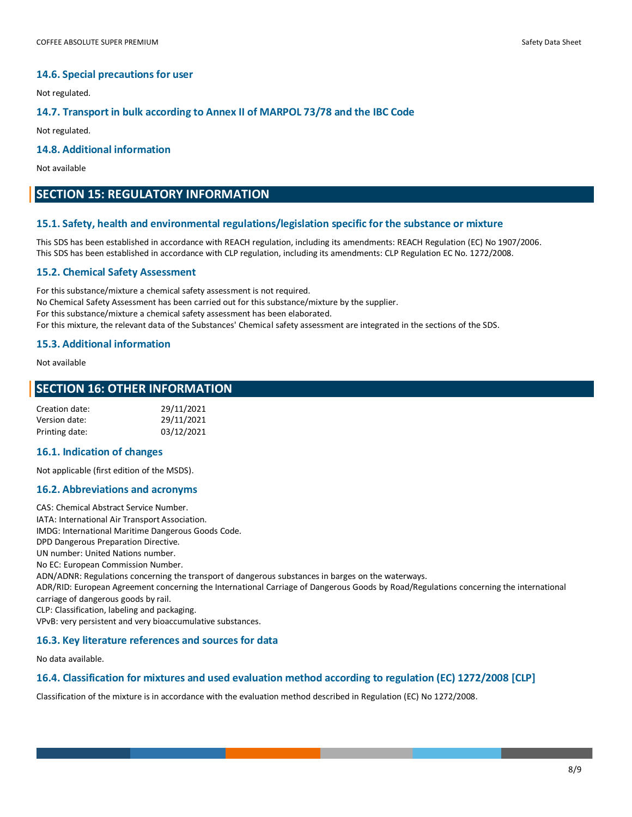#### **14.6. Special precautions for user**

Not regulated.

#### **14.7. Transport in bulk according to Annex II of MARPOL 73/78 and the IBC Code**

Not regulated.

#### **14.8. Additional information**

Not available

# **SECTION 15: REGULATORY INFORMATION**

#### **15.1. Safety, health and environmental regulations/legislation specific for the substance or mixture**

This SDS has been established in accordance with REACH regulation, including its amendments: REACH Regulation (EC) No 1907/2006. This SDS has been established in accordance with CLP regulation, including its amendments: CLP Regulation EC No. 1272/2008.

#### **15.2. Chemical Safety Assessment**

For this substance/mixture a chemical safety assessment is not required. No Chemical Safety Assessment has been carried out for this substance/mixture by the supplier. For this substance/mixture a chemical safety assessment has been elaborated. For this mixture, the relevant data of the Substances' Chemical safety assessment are integrated in the sections of the SDS.

#### **15.3. Additional information**

Not available

# **SECTION 16: OTHER INFORMATION**

| Creation date: | 29/11/2021 |
|----------------|------------|
| Version date:  | 29/11/2021 |
| Printing date: | 03/12/2021 |

#### **16.1. Indication of changes**

Not applicable (first edition of the MSDS).

#### **16.2. Abbreviations and acronyms**

CAS: Chemical Abstract Service Number. IATA: International Air Transport Association. IMDG: International Maritime Dangerous Goods Code. DPD Dangerous Preparation Directive. UN number: United Nations number. No EC: European Commission Number. ADN/ADNR: Regulations concerning the transport of dangerous substances in barges on the waterways. ADR/RID: European Agreement concerning the International Carriage of Dangerous Goods by Road/Regulations concerning the international carriage of dangerous goods by rail. CLP: Classification, labeling and packaging. VPvB: very persistent and very bioaccumulative substances.

#### **16.3. Key literature references and sources for data**

No data available.

#### **16.4. Classification for mixtures and used evaluation method according to regulation (EC) 1272/2008 [CLP]**

Classification of the mixture is in accordance with the evaluation method described in Regulation (EC) No 1272/2008.